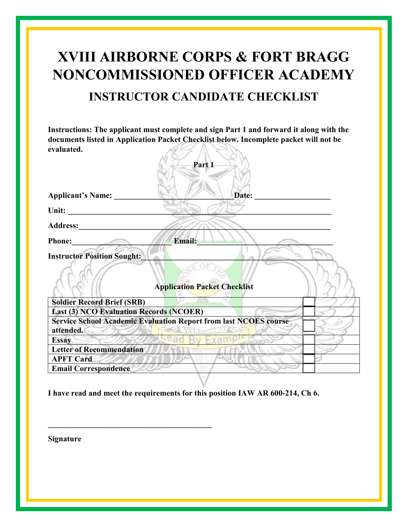## **XVIII AIRBORNE CORPS & FORT BRAGG NONCOMMISSIONED OFFICER ACADEMY INSTRUCTOR CANDIDATE CHECKLIST**

**Instructions: The applicant must complete and sign Part 1 and forward it along with the documents listed in Application Packet Checklist below. Incomplete packet will not be evaluated.**  <u>AV</u>

| cvaluattu.                              | Part 1                                                                  |
|-----------------------------------------|-------------------------------------------------------------------------|
| <b>Applicant's Name:</b>                | Date:                                                                   |
| Unit:                                   |                                                                         |
| <b>Address:</b>                         |                                                                         |
| <b>Phone:</b>                           | Email:                                                                  |
| <b>Instructor Position Sought:</b>      |                                                                         |
|                                         | <b>Application Packet Checklist</b>                                     |
| <b>Soldier Record Brief (SRB)</b>       |                                                                         |
| Last (3) NCO Evaluation Records (NCOER) |                                                                         |
| attended.                               | <b>Service School Academic Evaluation Report from last NCOES course</b> |
| <b>Essay</b>                            |                                                                         |
| <b>Letter of Recommendation</b>         |                                                                         |
| <b>APFT Card</b>                        |                                                                         |
| <b>Email Correspondence</b>             |                                                                         |

**I have read and meet the requirements for this position IAW AR 600-214, Ch 6.** 

**\_\_\_\_\_\_\_\_\_\_\_\_\_\_\_\_\_\_\_\_\_\_\_\_\_\_\_\_\_\_\_\_\_\_\_\_\_\_\_\_\_** 

**Signature**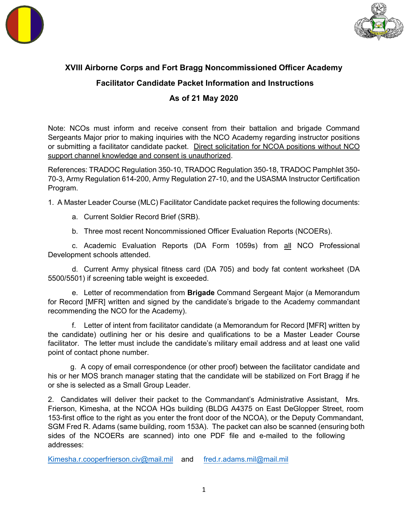



## **XVIII Airborne Corps and Fort Bragg Noncommissioned Officer Academy**

## **Facilitator Candidate Packet Information and Instructions**

## **As of 21 May 2020**

Note: NCOs must inform and receive consent from their battalion and brigade Command Sergeants Major prior to making inquiries with the NCO Academy regarding instructor positions or submitting a facilitator candidate packet. Direct solicitation for NCOA positions without NCO support channel knowledge and consent is unauthorized.

References: TRADOC Regulation 350-10, TRADOC Regulation 350-18, TRADOC Pamphlet 350- 70-3, Army Regulation 614-200, Army Regulation 27-10, and the USASMA Instructor Certification Program.

1. A Master Leader Course (MLC) Facilitator Candidate packet requires the following documents:

a. Current Soldier Record Brief (SRB).

b. Three most recent Noncommissioned Officer Evaluation Reports (NCOERs).

c. Academic Evaluation Reports (DA Form 1059s) from all NCO Professional Development schools attended.

d. Current Army physical fitness card (DA 705) and body fat content worksheet (DA 5500/5501) if screening table weight is exceeded.

e. Letter of recommendation from **Brigade** Command Sergeant Major (a Memorandum for Record [MFR] written and signed by the candidate's brigade to the Academy commandant recommending the NCO for the Academy).

f. Letter of intent from facilitator candidate (a Memorandum for Record [MFR] written by the candidate) outlining her or his desire and qualifications to be a Master Leader Course facilitator. The letter must include the candidate's military email address and at least one valid point of contact phone number.

g. A copy of email correspondence (or other proof) between the facilitator candidate and his or her MOS branch manager stating that the candidate will be stabilized on Fort Bragg if he or she is selected as a Small Group Leader.

2. Candidates will deliver their packet to the Commandant's Administrative Assistant, Mrs. Frierson, Kimesha, at the NCOA HQs building (BLDG A4375 on East DeGlopper Street, room 153-first office to the right as you enter the front door of the NCOA), or the Deputy Commandant, SGM Fred R. Adams (same building, room 153A). The packet can also be scanned (ensuring both sides of the NCOERs are scanned) into one PDF file and e-mailed to the following addresses:

Kimesha.r.cooperfrierson.civ@mail.mil and fred.r.adams.mil@mail.mil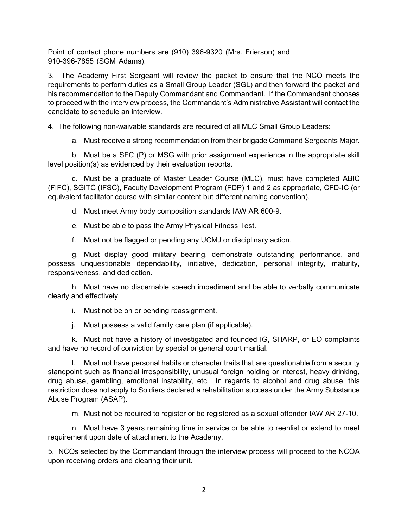Point of contact phone numbers are (910) 396-9320 (Mrs. Frierson) and 910-396-7855 (SGM Adams).

3. The Academy First Sergeant will review the packet to ensure that the NCO meets the requirements to perform duties as a Small Group Leader (SGL) and then forward the packet and his recommendation to the Deputy Commandant and Commandant. If the Commandant chooses to proceed with the interview process, the Commandant's Administrative Assistant will contact the candidate to schedule an interview.

4. The following non-waivable standards are required of all MLC Small Group Leaders:

a. Must receive a strong recommendation from their brigade Command Sergeants Major.

b. Must be a SFC (P) or MSG with prior assignment experience in the appropriate skill level position(s) as evidenced by their evaluation reports.

c. Must be a graduate of Master Leader Course (MLC), must have completed ABIC (FIFC), SGITC (IFSC), Faculty Development Program (FDP) 1 and 2 as appropriate, CFD-IC (or equivalent facilitator course with similar content but different naming convention).

d. Must meet Army body composition standards IAW AR 600-9.

e. Must be able to pass the Army Physical Fitness Test.

f. Must not be flagged or pending any UCMJ or disciplinary action.

g. Must display good military bearing, demonstrate outstanding performance, and possess unquestionable dependability, initiative, dedication, personal integrity, maturity, responsiveness, and dedication.

h. Must have no discernable speech impediment and be able to verbally communicate clearly and effectively.

i. Must not be on or pending reassignment.

j. Must possess a valid family care plan (if applicable).

k. Must not have a history of investigated and founded IG, SHARP, or EO complaints and have no record of conviction by special or general court martial.

l. Must not have personal habits or character traits that are questionable from a security standpoint such as financial irresponsibility, unusual foreign holding or interest, heavy drinking, drug abuse, gambling, emotional instability, etc. In regards to alcohol and drug abuse, this restriction does not apply to Soldiers declared a rehabilitation success under the Army Substance Abuse Program (ASAP).

m. Must not be required to register or be registered as a sexual offender IAW AR 27-10.

n. Must have 3 years remaining time in service or be able to reenlist or extend to meet requirement upon date of attachment to the Academy.

5. NCOs selected by the Commandant through the interview process will proceed to the NCOA upon receiving orders and clearing their unit.